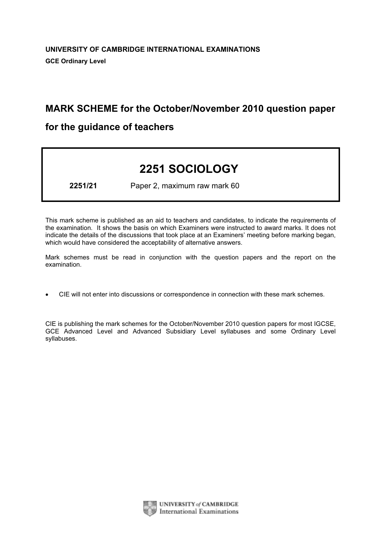# MARK SCHEME for the October/November 2010 question paper

# for the guidance of teachers

# 2251 SOCIOLOGY

2251/21 Paper 2, maximum raw mark 60

This mark scheme is published as an aid to teachers and candidates, to indicate the requirements of the examination. It shows the basis on which Examiners were instructed to award marks. It does not indicate the details of the discussions that took place at an Examiners' meeting before marking began, which would have considered the acceptability of alternative answers.

Mark schemes must be read in conjunction with the question papers and the report on the examination.

*•* CIE will not enter into discussions or correspondence in connection with these mark schemes.

CIE is publishing the mark schemes for the October/November 2010 question papers for most IGCSE, GCE Advanced Level and Advanced Subsidiary Level syllabuses and some Ordinary Level syllabuses.



UNIVERSITY of CAMBRIDGE **International Examinations**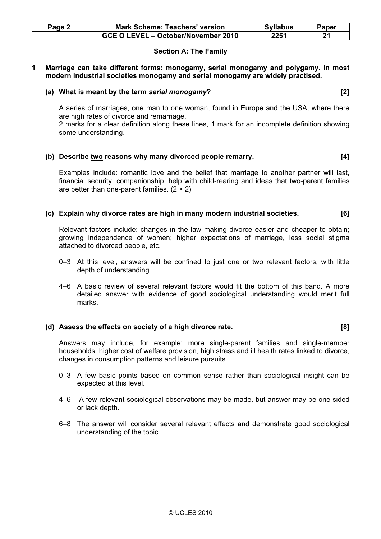| Page 2 | Mark Scheme: Teachers' version      | <b>Syllabus</b> | Paper |
|--------|-------------------------------------|-----------------|-------|
|        | GCE O LEVEL - October/November 2010 | 2251            | 94    |

# Section A: The Family

1 Marriage can take different forms: monogamy, serial monogamy and polygamy. In most modern industrial societies monogamy and serial monogamy are widely practised.

# (a) What is meant by the term serial monogamy? [2]

 A series of marriages, one man to one woman, found in Europe and the USA, where there are high rates of divorce and remarriage.

 2 marks for a clear definition along these lines, 1 mark for an incomplete definition showing some understanding.

# (b) Describe two reasons why many divorced people remarry. [4]

 Examples include: romantic love and the belief that marriage to another partner will last, financial security, companionship, help with child-rearing and ideas that two-parent families are better than one-parent families.  $(2 \times 2)$ 

# (c) Explain why divorce rates are high in many modern industrial societies. [6]

 Relevant factors include: changes in the law making divorce easier and cheaper to obtain; growing independence of women; higher expectations of marriage, less social stigma attached to divorced people, etc.

- 0–3 At this level, answers will be confined to just one or two relevant factors, with little depth of understanding.
- 4–6 A basic review of several relevant factors would fit the bottom of this band. A more detailed answer with evidence of good sociological understanding would merit full marks.

#### (d) Assess the effects on society of a high divorce rate. [8]

 Answers may include, for example: more single-parent families and single-member households, higher cost of welfare provision, high stress and ill health rates linked to divorce, changes in consumption patterns and leisure pursuits.

- 0–3 A few basic points based on common sense rather than sociological insight can be expected at this level.
- 4–6 A few relevant sociological observations may be made, but answer may be one-sided or lack depth.
- 6–8 The answer will consider several relevant effects and demonstrate good sociological understanding of the topic.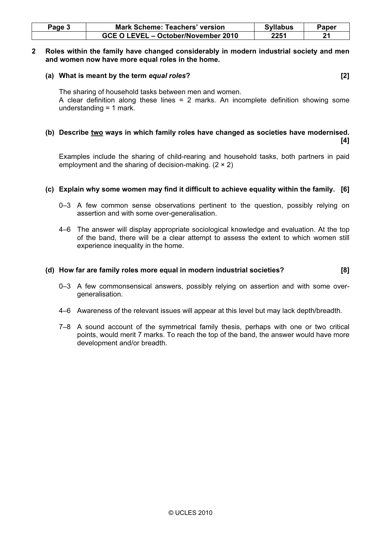| Page 3 | <b>Mark Scheme: Teachers' version</b> | <b>Syllabus</b> | Paper |
|--------|---------------------------------------|-----------------|-------|
|        | GCE O LEVEL - October/November 2010   | 2251            |       |

# 2 Roles within the family have changed considerably in modern industrial society and men and women now have more equal roles in the home.

# (a) What is meant by the term equal roles? [2]

 The sharing of household tasks between men and women. A clear definition along these lines = 2 marks. An incomplete definition showing some understanding = 1 mark.

#### (b) Describe two ways in which family roles have changed as societies have modernised. [4]

 Examples include the sharing of child-rearing and household tasks, both partners in paid employment and the sharing of decision-making.  $(2 \times 2)$ 

# (c) Explain why some women may find it difficult to achieve equality within the family. [6]

- 0–3 A few common sense observations pertinent to the question, possibly relying on assertion and with some over-generalisation.
- 4–6 The answer will display appropriate sociological knowledge and evaluation. At the top of the band, there will be a clear attempt to assess the extent to which women still experience inequality in the home.

# (d) How far are family roles more equal in modern industrial societies? [8]

- 0–3 A few commonsensical answers, possibly relying on assertion and with some overgeneralisation.
- 4–6 Awareness of the relevant issues will appear at this level but may lack depth/breadth.
- 7–8 A sound account of the symmetrical family thesis, perhaps with one or two critical points, would merit 7 marks. To reach the top of the band, the answer would have more development and/or breadth.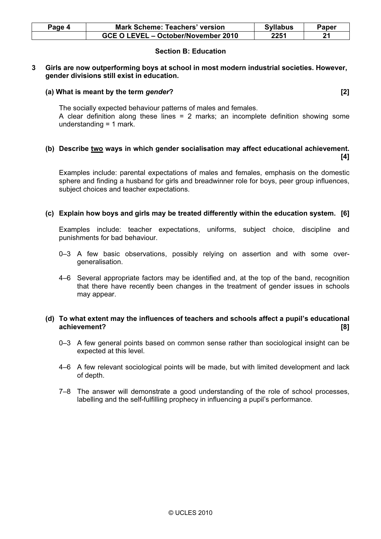| Paqe 4 | <b>Mark Scheme: Teachers' version</b> | <b>Syllabus</b> | Paper |
|--------|---------------------------------------|-----------------|-------|
|        | GCE O LEVEL - October/November 2010   | 2251            | 21    |

# Section B: Education

# 3 Girls are now outperforming boys at school in most modern industrial societies. However, gender divisions still exist in education.

# (a) What is meant by the term gender? [2]

The socially expected behaviour patterns of males and females.

 A clear definition along these lines = 2 marks; an incomplete definition showing some understanding = 1 mark.

#### (b) Describe two ways in which gender socialisation may affect educational achievement.  $[4]$

 Examples include: parental expectations of males and females, emphasis on the domestic sphere and finding a husband for girls and breadwinner role for boys, peer group influences, subject choices and teacher expectations.

# (c) Explain how boys and girls may be treated differently within the education system. [6]

 Examples include: teacher expectations, uniforms, subject choice, discipline and punishments for bad behaviour.

- 0–3 A few basic observations, possibly relying on assertion and with some overgeneralisation.
- 4–6 Several appropriate factors may be identified and, at the top of the band, recognition that there have recently been changes in the treatment of gender issues in schools may appear.

# (d) To what extent may the influences of teachers and schools affect a pupil's educational achievement? [8]

- 0–3 A few general points based on common sense rather than sociological insight can be expected at this level.
- 4–6 A few relevant sociological points will be made, but with limited development and lack of depth.
- 7–8 The answer will demonstrate a good understanding of the role of school processes, labelling and the self-fulfilling prophecy in influencing a pupil's performance.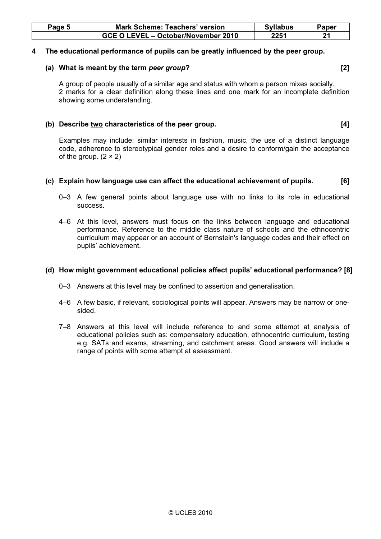| Page 5 | <b>Mark Scheme: Teachers' version</b> | <b>Syllabus</b> | Paper |
|--------|---------------------------------------|-----------------|-------|
|        | GCE O LEVEL - October/November 2010   | 2251            | 04    |

# 4 The educational performance of pupils can be greatly influenced by the peer group.

#### (a) What is meant by the term *peer group*? [2]

 A group of people usually of a similar age and status with whom a person mixes socially. 2 marks for a clear definition along these lines and one mark for an incomplete definition showing some understanding.

# (b) Describe two characteristics of the peer group. [4]

 Examples may include: similar interests in fashion, music, the use of a distinct language code, adherence to stereotypical gender roles and a desire to conform/gain the acceptance of the group.  $(2 \times 2)$ 

# (c) Explain how language use can affect the educational achievement of pupils. [6]

- 0–3 A few general points about language use with no links to its role in educational success.
- 4–6 At this level, answers must focus on the links between language and educational performance. Reference to the middle class nature of schools and the ethnocentric curriculum may appear or an account of Bernstein's language codes and their effect on pupils' achievement.

#### (d) How might government educational policies affect pupils' educational performance? [8]

- 0–3 Answers at this level may be confined to assertion and generalisation.
- 4–6 A few basic, if relevant, sociological points will appear. Answers may be narrow or onesided.
- 7–8 Answers at this level will include reference to and some attempt at analysis of educational policies such as: compensatory education, ethnocentric curriculum, testing e.g. SATs and exams, streaming, and catchment areas. Good answers will include a range of points with some attempt at assessment.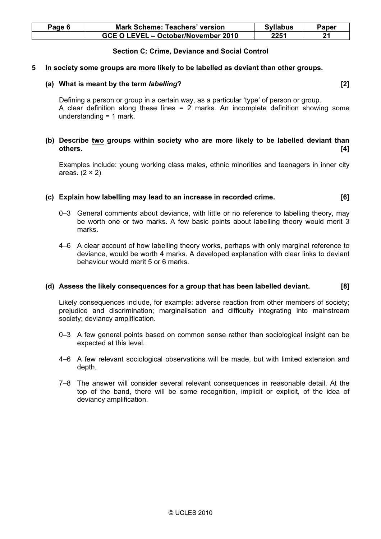| Page 6 | <b>Mark Scheme: Teachers' version</b> | <b>Syllabus</b> | Paper |
|--------|---------------------------------------|-----------------|-------|
|        | GCE O LEVEL - October/November 2010   | 2251            |       |

# Section C: Crime, Deviance and Social Control

#### 5 In society some groups are more likely to be labelled as deviant than other groups.

#### (a) What is meant by the term *labelling*? [2]

 Defining a person or group in a certain way, as a particular 'type' of person or group. A clear definition along these lines = 2 marks. An incomplete definition showing some understanding = 1 mark.

# (b) Describe two groups within society who are more likely to be labelled deviant than others. [4]

 Examples include: young working class males, ethnic minorities and teenagers in inner city areas.  $(2 \times 2)$ 

# (c) Explain how labelling may lead to an increase in recorded crime. [6]

- 0–3 General comments about deviance, with little or no reference to labelling theory, may be worth one or two marks. A few basic points about labelling theory would merit 3 marks.
- 4–6 A clear account of how labelling theory works, perhaps with only marginal reference to deviance, would be worth 4 marks. A developed explanation with clear links to deviant behaviour would merit 5 or 6 marks.

#### (d) Assess the likely consequences for a group that has been labelled deviant. [8]

 Likely consequences include, for example: adverse reaction from other members of society; prejudice and discrimination; marginalisation and difficulty integrating into mainstream society; deviancy amplification.

- 0–3 A few general points based on common sense rather than sociological insight can be expected at this level.
- 4–6 A few relevant sociological observations will be made, but with limited extension and depth.
- 7–8 The answer will consider several relevant consequences in reasonable detail. At the top of the band, there will be some recognition, implicit or explicit, of the idea of deviancy amplification.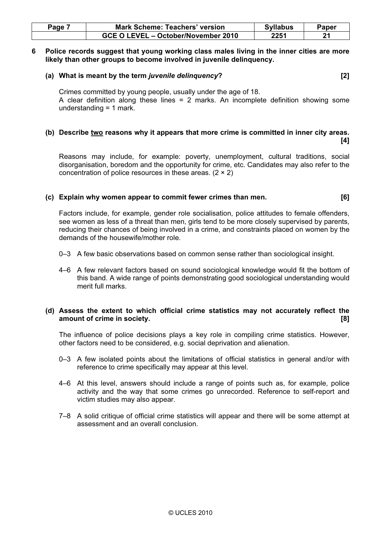| Page | <b>Mark Scheme: Teachers' version</b> | <b>Syllabus</b> | Paper |
|------|---------------------------------------|-----------------|-------|
|      | GCE O LEVEL - October/November 2010   | 2251            |       |

#### 6 Police records suggest that young working class males living in the inner cities are more likely than other groups to become involved in juvenile delinquency.

#### (a) What is meant by the term juvenile delinquency? [2]

 Crimes committed by young people, usually under the age of 18. A clear definition along these lines = 2 marks. An incomplete definition showing some understanding = 1 mark.

#### (b) Describe two reasons why it appears that more crime is committed in inner city areas.  $[4]$

 Reasons may include, for example: poverty, unemployment, cultural traditions, social disorganisation, boredom and the opportunity for crime, etc. Candidates may also refer to the concentration of police resources in these areas. (2 × 2)

# (c) Explain why women appear to commit fewer crimes than men. [6]

 Factors include, for example, gender role socialisation, police attitudes to female offenders, see women as less of a threat than men, girls tend to be more closely supervised by parents, reducing their chances of being involved in a crime, and constraints placed on women by the demands of the housewife/mother role.

- 0–3 A few basic observations based on common sense rather than sociological insight.
- 4–6 A few relevant factors based on sound sociological knowledge would fit the bottom of this band. A wide range of points demonstrating good sociological understanding would merit full marks.

# (d) Assess the extent to which official crime statistics may not accurately reflect the amount of crime in society. [8]

 The influence of police decisions plays a key role in compiling crime statistics. However, other factors need to be considered, e.g. social deprivation and alienation.

- 0–3 A few isolated points about the limitations of official statistics in general and/or with reference to crime specifically may appear at this level.
- 4–6 At this level, answers should include a range of points such as, for example, police activity and the way that some crimes go unrecorded. Reference to self-report and victim studies may also appear.
- 7–8 A solid critique of official crime statistics will appear and there will be some attempt at assessment and an overall conclusion.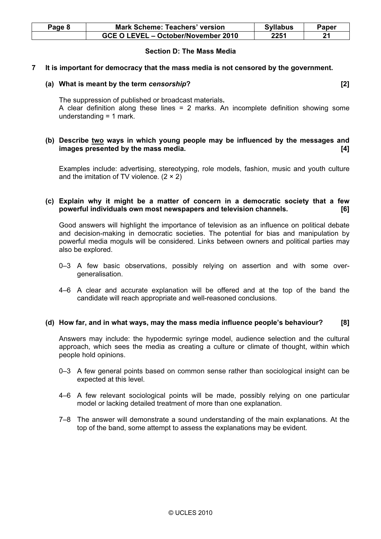| Page 8 | <b>Mark Scheme: Teachers' version</b> | <b>Syllabus</b> | Paper |
|--------|---------------------------------------|-----------------|-------|
|        | GCE O LEVEL - October/November 2010   | 2251            |       |

# Section D: The Mass Media

# 7 It is important for democracy that the mass media is not censored by the government.

# (a) What is meant by the term censorship? [2]

 The suppression of published or broadcast materials. A clear definition along these lines  $= 2$  marks. An incomplete definition showing some understanding = 1 mark.

# (b) Describe two ways in which young people may be influenced by the messages and images presented by the mass media. [4]

 Examples include: advertising, stereotyping, role models, fashion, music and youth culture and the imitation of TV violence.  $(2 \times 2)$ 

# (c) Explain why it might be a matter of concern in a democratic society that a few powerful individuals own most newspapers and television channels. [6]

 Good answers will highlight the importance of television as an influence on political debate and decision-making in democratic societies. The potential for bias and manipulation by powerful media moguls will be considered. Links between owners and political parties may also be explored.

- 0–3 A few basic observations, possibly relying on assertion and with some overgeneralisation.
- 4–6 A clear and accurate explanation will be offered and at the top of the band the candidate will reach appropriate and well-reasoned conclusions.

#### (d) How far, and in what ways, may the mass media influence people's behaviour? [8]

 Answers may include: the hypodermic syringe model, audience selection and the cultural approach, which sees the media as creating a culture or climate of thought, within which people hold opinions.

- 0–3 A few general points based on common sense rather than sociological insight can be expected at this level.
- 4–6 A few relevant sociological points will be made, possibly relying on one particular model or lacking detailed treatment of more than one explanation.
- 7–8 The answer will demonstrate a sound understanding of the main explanations. At the top of the band, some attempt to assess the explanations may be evident.